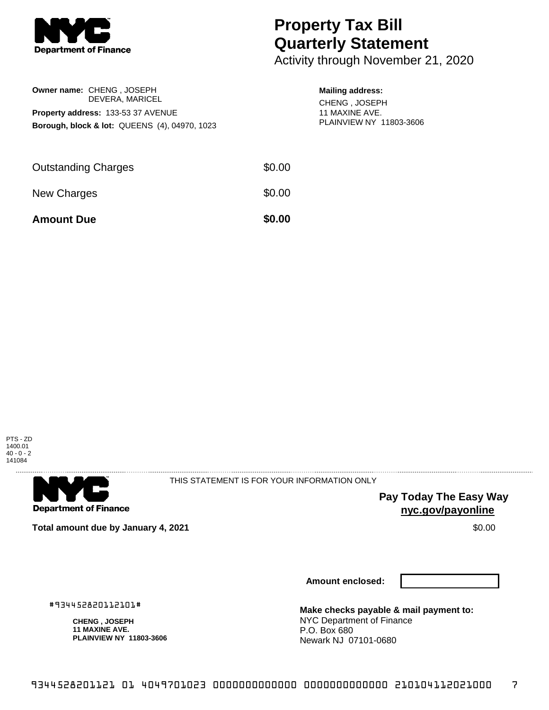

**Owner name:** CHENG , JOSEPH

**Property address:** 133-53 37 AVENUE

DEVERA, MARICEL

**Borough, block & lot:** QUEENS (4), 04970, 1023

## **Property Tax Bill Quarterly Statement**

Activity through November 21, 2020

## **Mailing address:**

CHENG , JOSEPH 11 MAXINE AVE. PLAINVIEW NY 11803-3606

| <b>Amount Due</b>          | \$0.00 |
|----------------------------|--------|
| New Charges                | \$0.00 |
| <b>Outstanding Charges</b> | \$0.00 |





THIS STATEMENT IS FOR YOUR INFORMATION ONLY

**Pay Today The Easy Way nyc.gov/payonline**

**Total amount due by January 4, 2021** \$0.00

**Amount enclosed:**

#934452820112101#

**CHENG , JOSEPH 11 MAXINE AVE. PLAINVIEW NY 11803-3606**

**Make checks payable & mail payment to:** NYC Department of Finance P.O. Box 680 Newark NJ 07101-0680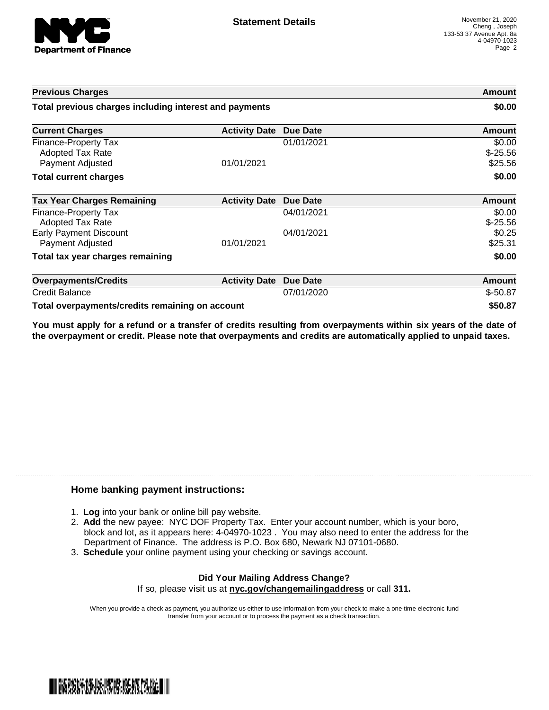

| <b>Previous Charges</b>                                             |                      | Amount<br>\$0.00 |                                |
|---------------------------------------------------------------------|----------------------|------------------|--------------------------------|
| Total previous charges including interest and payments              |                      |                  |                                |
| <b>Current Charges</b>                                              | <b>Activity Date</b> | <b>Due Date</b>  | Amount                         |
| Finance-Property Tax<br><b>Adopted Tax Rate</b><br>Payment Adjusted | 01/01/2021           | 01/01/2021       | \$0.00<br>$$-25.56$<br>\$25.56 |
| <b>Total current charges</b>                                        |                      |                  | \$0.00                         |
| <b>Tax Year Charges Remaining</b>                                   | <b>Activity Date</b> | Due Date         | <b>Amount</b>                  |
| Finance-Property Tax<br>Adopted Tax Rate                            |                      | 04/01/2021       | \$0.00<br>$$-25.56$            |
| <b>Early Payment Discount</b><br>Payment Adjusted                   | 01/01/2021           | 04/01/2021       | \$0.25<br>\$25.31              |
| Total tax year charges remaining                                    |                      |                  | \$0.00                         |
| <b>Overpayments/Credits</b>                                         | <b>Activity Date</b> | <b>Due Date</b>  | Amount                         |
| <b>Credit Balance</b>                                               |                      | 07/01/2020       | $$-50.87$                      |
| Total overpayments/credits remaining on account                     |                      |                  | \$50.87                        |

You must apply for a refund or a transfer of credits resulting from overpayments within six years of the date of **the overpayment or credit. Please note that overpayments and credits are automatically applied to unpaid taxes.**

## **Home banking payment instructions:**

- 1. **Log** into your bank or online bill pay website.
- 2. **Add** the new payee: NYC DOF Property Tax. Enter your account number, which is your boro, block and lot, as it appears here: 4-04970-1023 . You may also need to enter the address for the Department of Finance. The address is P.O. Box 680, Newark NJ 07101-0680.
- 3. **Schedule** your online payment using your checking or savings account.

## **Did Your Mailing Address Change?** If so, please visit us at **nyc.gov/changemailingaddress** or call **311.**

When you provide a check as payment, you authorize us either to use information from your check to make a one-time electronic fund transfer from your account or to process the payment as a check transaction.